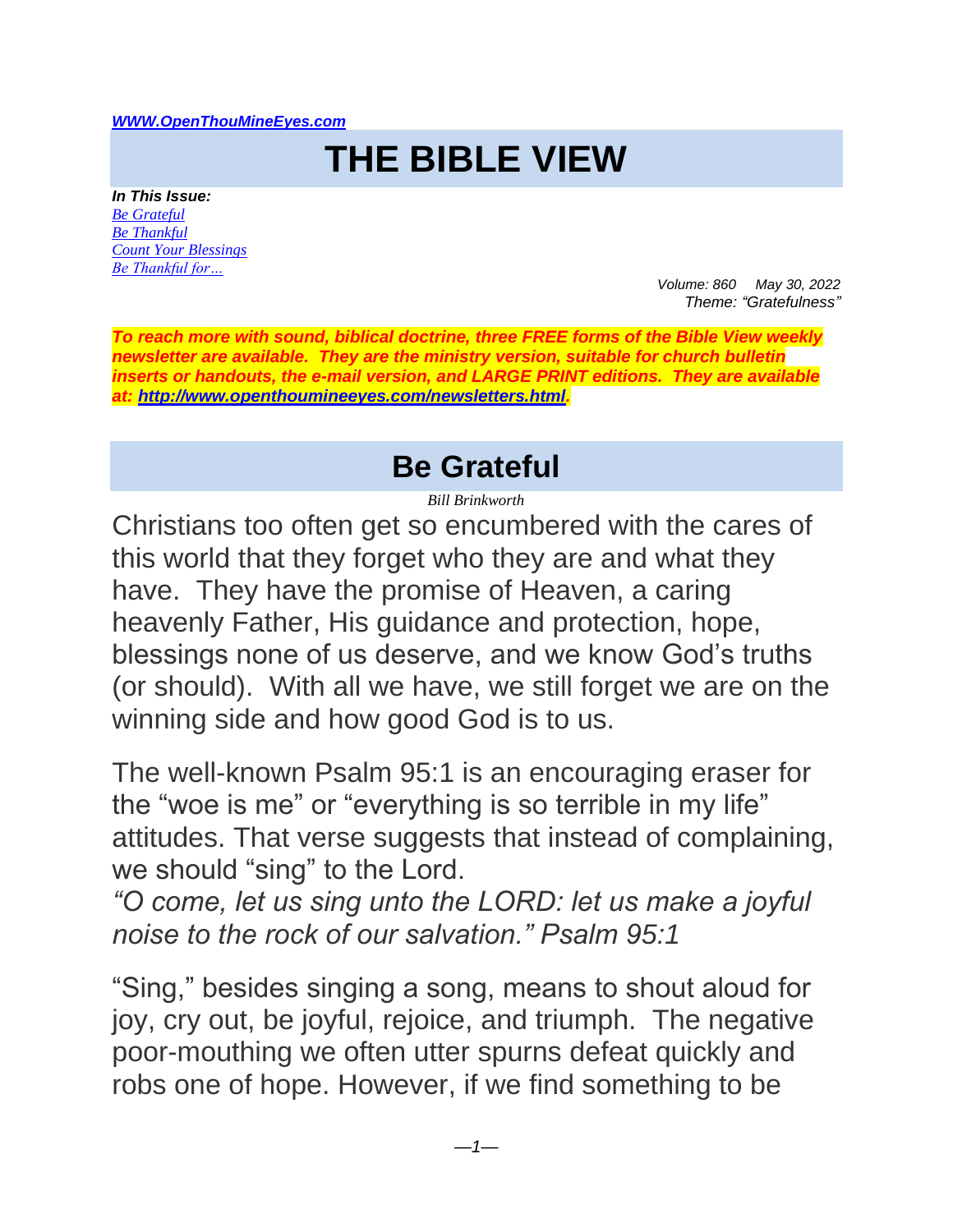#### *[WWW.OpenThouMineEyes.com](http://www.openthoumineeyes.com/)*

# **THE BIBLE VIEW**

*In This Issue: [Be Grateful](#page-0-0) [Be Thankful](#page-1-0) [Count Your Blessings](#page-3-0) [Be Thankful for…](#page-4-0)*

*Volume: 860 May 30, 2022 Theme: "Gratefulness"* 

*To reach more with sound, biblical doctrine, three FREE forms of the Bible View weekly newsletter are available. They are the ministry version, suitable for church bulletin inserts or handouts, the e-mail version, and LARGE PRINT editions. They are available at: [http://www.openthoumineeyes.com/newsletters.html.](http://www.openthoumineeyes.com/newsletters.html)* 

#### **Be Grateful**

*Bill Brinkworth*

<span id="page-0-0"></span>Christians too often get so encumbered with the cares of this world that they forget who they are and what they have. They have the promise of Heaven, a caring heavenly Father, His guidance and protection, hope, blessings none of us deserve, and we know God's truths (or should). With all we have, we still forget we are on the winning side and how good God is to us.

The well-known Psalm 95:1 is an encouraging eraser for the "woe is me" or "everything is so terrible in my life" attitudes. That verse suggests that instead of complaining, we should "sing" to the Lord.

*"O come, let us sing unto the LORD: let us make a joyful noise to the rock of our salvation." Psalm 95:1*

"Sing," besides singing a song, means to shout aloud for joy, cry out, be joyful, rejoice, and triumph. The negative poor-mouthing we often utter spurns defeat quickly and robs one of hope. However, if we find something to be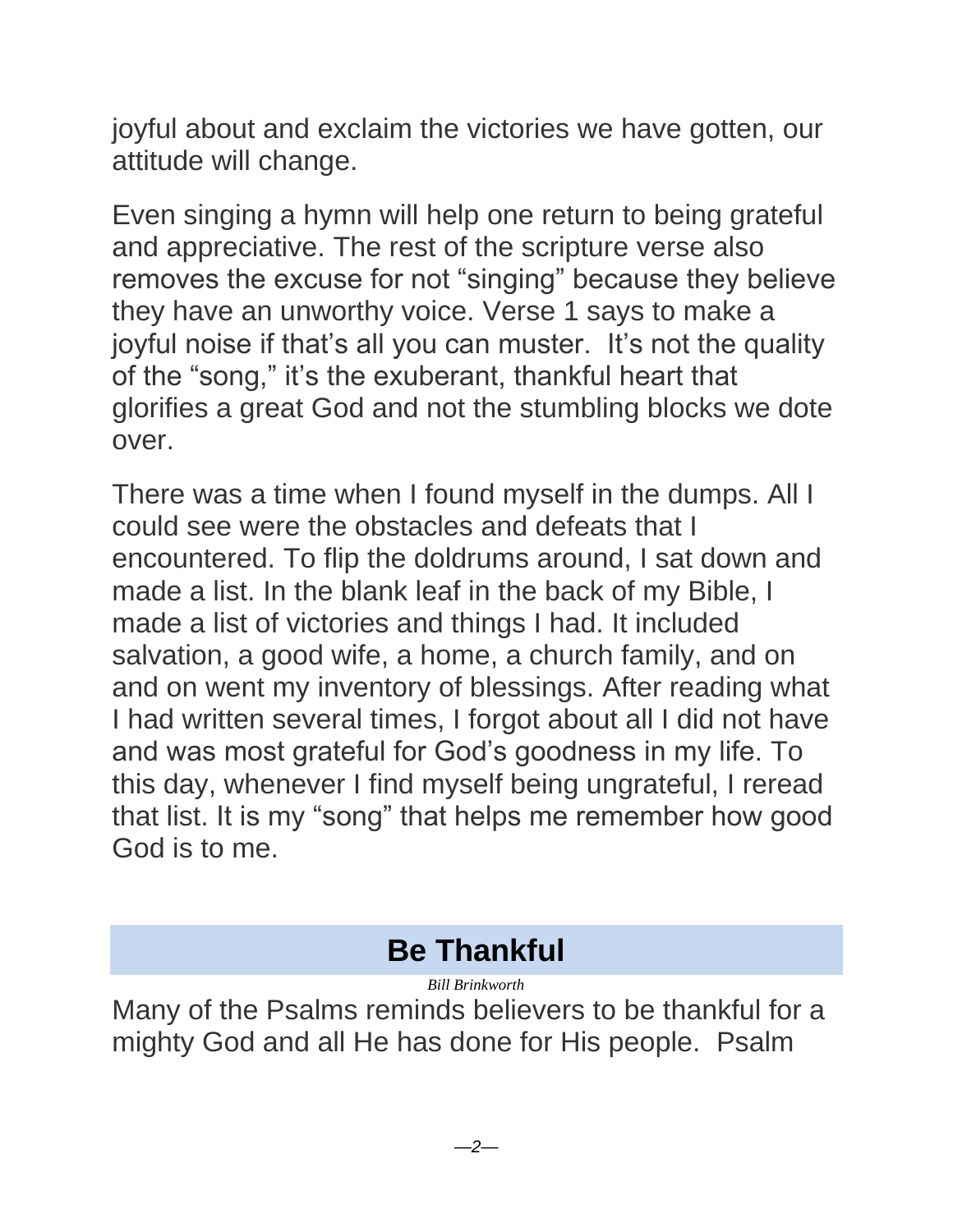joyful about and exclaim the victories we have gotten, our attitude will change.

Even singing a hymn will help one return to being grateful and appreciative. The rest of the scripture verse also removes the excuse for not "singing" because they believe they have an unworthy voice. Verse 1 says to make a joyful noise if that's all you can muster. It's not the quality of the "song," it's the exuberant, thankful heart that glorifies a great God and not the stumbling blocks we dote over.

There was a time when I found myself in the dumps. All I could see were the obstacles and defeats that I encountered. To flip the doldrums around, I sat down and made a list. In the blank leaf in the back of my Bible, I made a list of victories and things I had. It included salvation, a good wife, a home, a church family, and on and on went my inventory of blessings. After reading what I had written several times, I forgot about all I did not have and was most grateful for God's goodness in my life. To this day, whenever I find myself being ungrateful, I reread that list. It is my "song" that helps me remember how good God is to me.

## **Be Thankful**

*Bill Brinkworth*

<span id="page-1-0"></span>Many of the Psalms reminds believers to be thankful for a mighty God and all He has done for His people. Psalm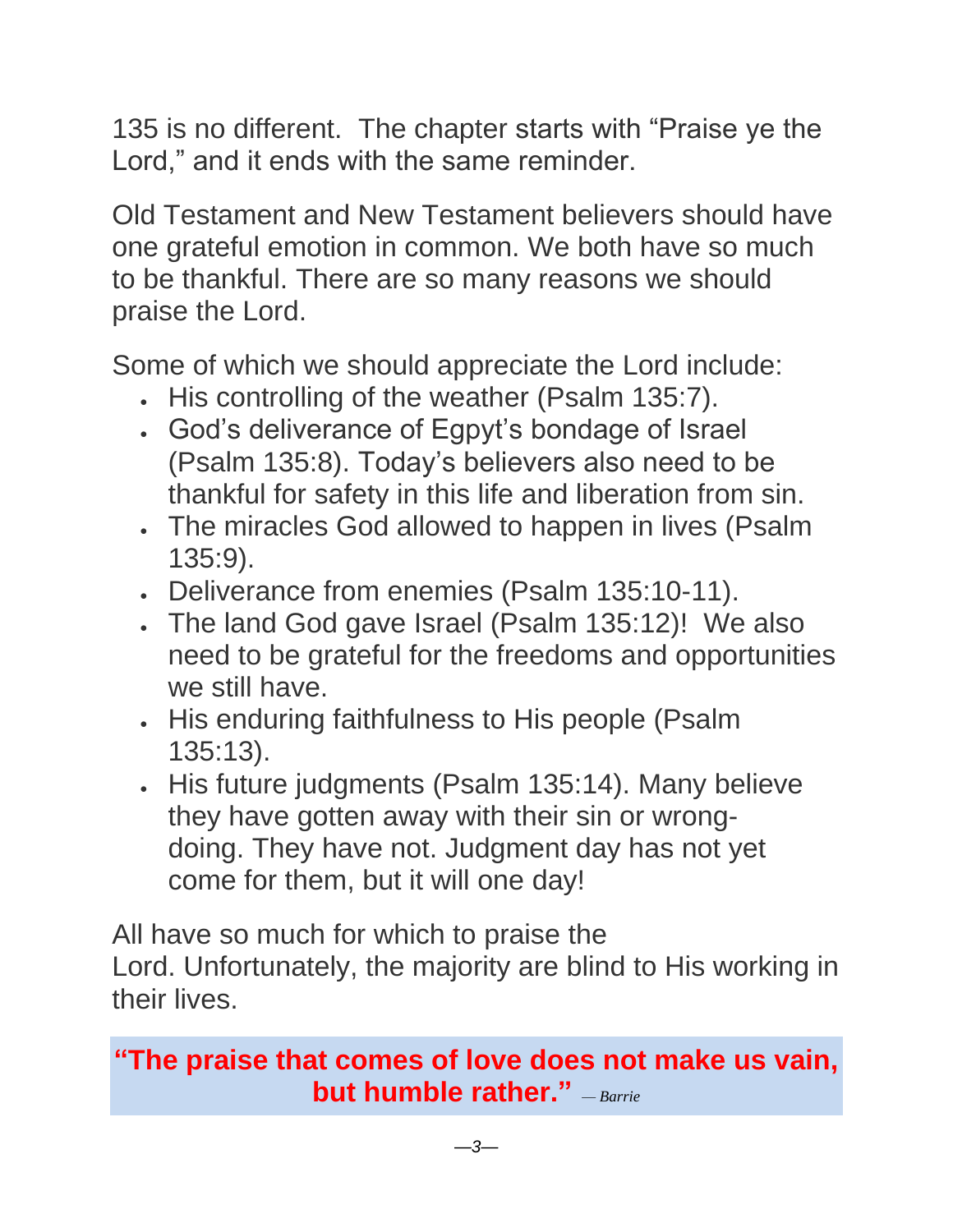135 is no different. The chapter starts with "Praise ye the Lord," and it ends with the same reminder.

Old Testament and New Testament believers should have one grateful emotion in common. We both have so much to be thankful. There are so many reasons we should praise the Lord.

Some of which we should appreciate the Lord include:

- His controlling of the weather (Psalm 135:7).
- God's deliverance of Egpyt's bondage of Israel (Psalm 135:8). Today's believers also need to be thankful for safety in this life and liberation from sin.
- The miracles God allowed to happen in lives (Psalm 135:9).
- Deliverance from enemies (Psalm 135:10-11).
- The land God gave Israel (Psalm 135:12)! We also need to be grateful for the freedoms and opportunities we still have.
- His enduring faithfulness to His people (Psalm 135:13).
- His future judgments (Psalm 135:14). Many believe they have gotten away with their sin or wrongdoing. They have not. Judgment day has not yet come for them, but it will one day!

All have so much for which to praise the Lord. Unfortunately, the majority are blind to His working in their lives.

#### **"The praise that comes of love does not make us vain, but humble rather."** *— Barrie*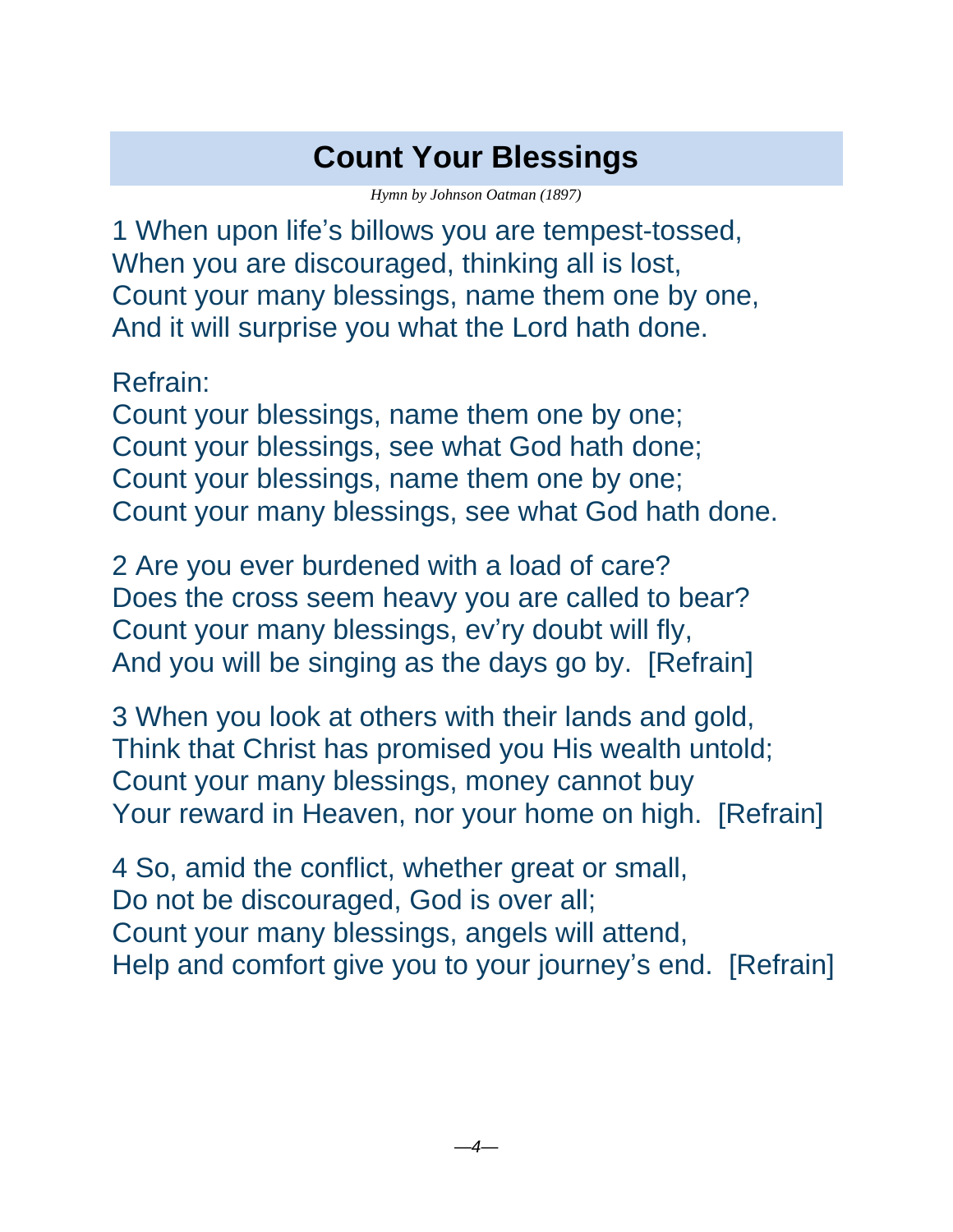## **Count Your Blessings**

*Hymn by Johnson Oatman (1897)*

<span id="page-3-0"></span>1 When upon life's billows you are tempest-tossed, When you are discouraged, thinking all is lost, Count your many blessings, name them one by one, And it will surprise you what the Lord hath done.

Refrain:

Count your blessings, name them one by one; Count your blessings, see what God hath done; Count your blessings, name them one by one; Count your many blessings, see what God hath done.

2 Are you ever burdened with a load of care? Does the cross seem heavy you are called to bear? Count your many blessings, ev'ry doubt will fly, And you will be singing as the days go by. [Refrain]

3 When you look at others with their lands and gold, Think that Christ has promised you His wealth untold; Count your many blessings, money cannot buy Your reward in Heaven, nor your home on high. [Refrain]

4 So, amid the conflict, whether great or small, Do not be discouraged, God is over all; Count your many blessings, angels will attend, Help and comfort give you to your journey's end. [Refrain]

*—4—*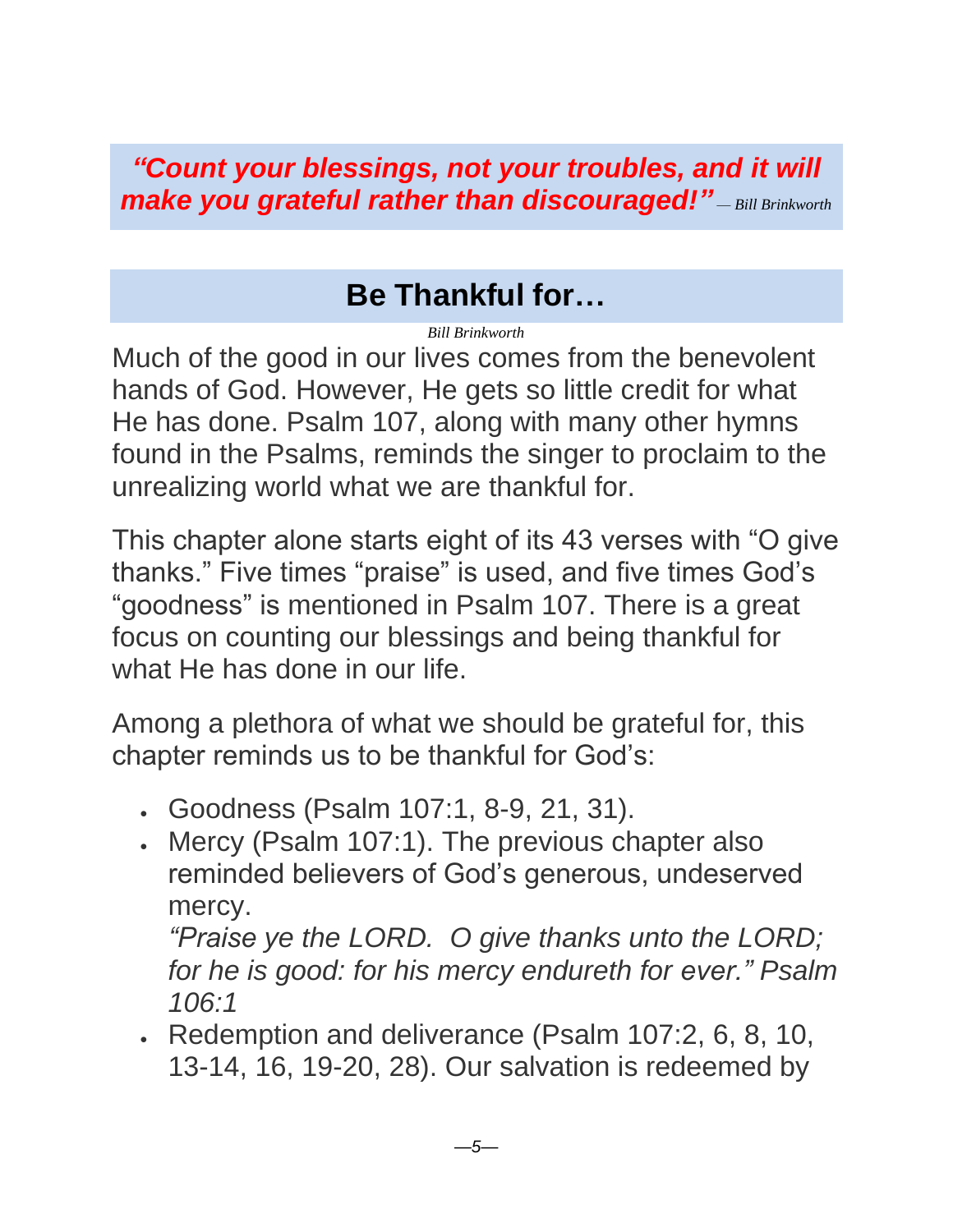*"Count your blessings, not your troubles, and it will make you grateful rather than discouraged!" — Bill Brinkworth*

## **Be Thankful for…**

*Bill Brinkworth*

<span id="page-4-0"></span>Much of the good in our lives comes from the benevolent hands of God. However, He gets so little credit for what He has done. Psalm 107, along with many other hymns found in the Psalms, reminds the singer to proclaim to the unrealizing world what we are thankful for.

This chapter alone starts eight of its 43 verses with "O give thanks." Five times "praise" is used, and five times God's "goodness" is mentioned in Psalm 107. There is a great focus on counting our blessings and being thankful for what He has done in our life.

Among a plethora of what we should be grateful for, this chapter reminds us to be thankful for God's:

- Goodness (Psalm 107:1, 8-9, 21, 31).
- Mercy (Psalm 107:1). The previous chapter also reminded believers of God's generous, undeserved mercy.

*"Praise ye the LORD. O give thanks unto the LORD; for he is good: for his mercy endureth for ever." Psalm 106:1*

• Redemption and deliverance (Psalm 107:2, 6, 8, 10, 13-14, 16, 19-20, 28). Our salvation is redeemed by